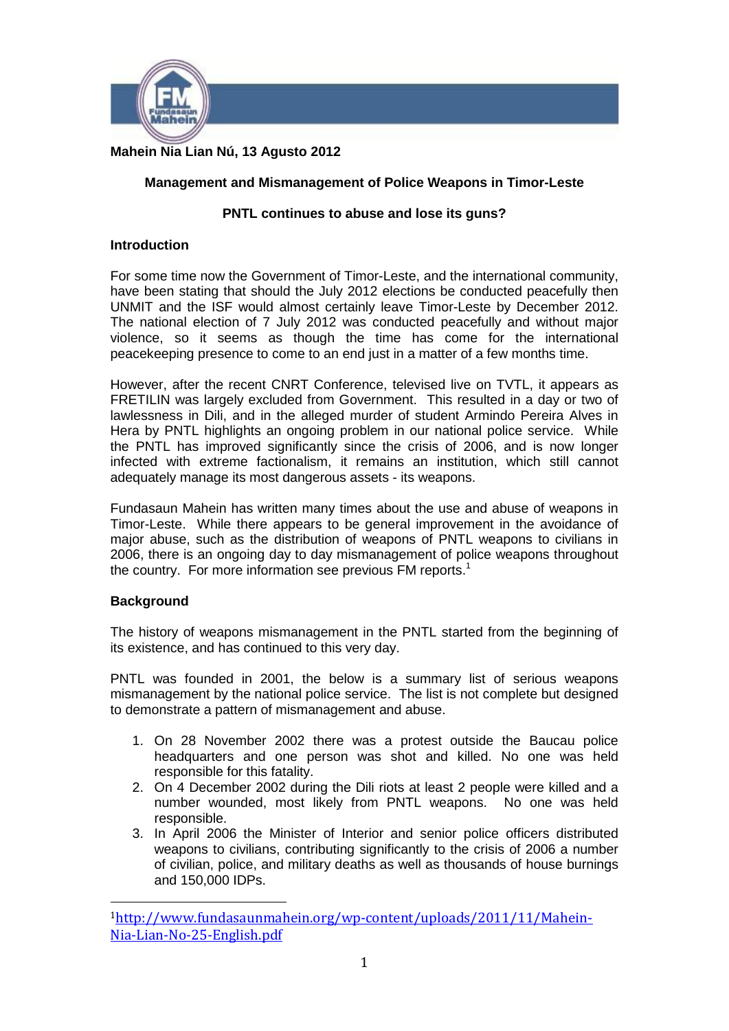

# **Mahein Nia Lian Nú, 13 Agusto 2012**

# **Management and Mismanagement of Police Weapons in Timor-Leste**

## **PNTL continues to abuse and lose its guns?**

### **Introduction**

For some time now the Government of Timor-Leste, and the international community, have been stating that should the July 2012 elections be conducted peacefully then UNMIT and the ISF would almost certainly leave Timor-Leste by December 2012. The national election of 7 July 2012 was conducted peacefully and without major violence, so it seems as though the time has come for the international peacekeeping presence to come to an end just in a matter of a few months time.

However, after the recent CNRT Conference, televised live on TVTL, it appears as FRETILIN was largely excluded from Government. This resulted in a day or two of lawlessness in Dili, and in the alleged murder of student Armindo Pereira Alves in Hera by PNTL highlights an ongoing problem in our national police service. While the PNTL has improved significantly since the crisis of 2006, and is now longer infected with extreme factionalism, it remains an institution, which still cannot adequately manage its most dangerous assets - its weapons.

Fundasaun Mahein has written many times about the use and abuse of weapons in Timor-Leste. While there appears to be general improvement in the avoidance of major abuse, such as the distribution of weapons of PNTL weapons to civilians in 2006, there is an ongoing day to day mismanagement of police weapons throughout the country. For more information see previous FM reports.<sup>1</sup>

## **Background**

The history of weapons mismanagement in the PNTL started from the beginning of its existence, and has continued to this very day.

PNTL was founded in 2001, the below is a summary list of serious weapons mismanagement by the national police service. The list is not complete but designed to demonstrate a pattern of mismanagement and abuse.

- 1. On 28 November 2002 there was a protest outside the Baucau police headquarters and one person was shot and killed. No one was held responsible for this fatality.
- 2. On 4 December 2002 during the Dili riots at least 2 people were killed and a number wounded, most likely from PNTL weapons. No one was held responsible.
- 3. In April 2006 the Minister of Interior and senior police officers distributed weapons to civilians, contributing significantly to the crisis of 2006 a number of civilian, police, and military deaths as well as thousands of house burnings and 150,000 IDPs.

 1http://www.fundasaunmahein.org/wp-content/uploads/2011/11/Mahein-Nia-Lian-No-25-English.pdf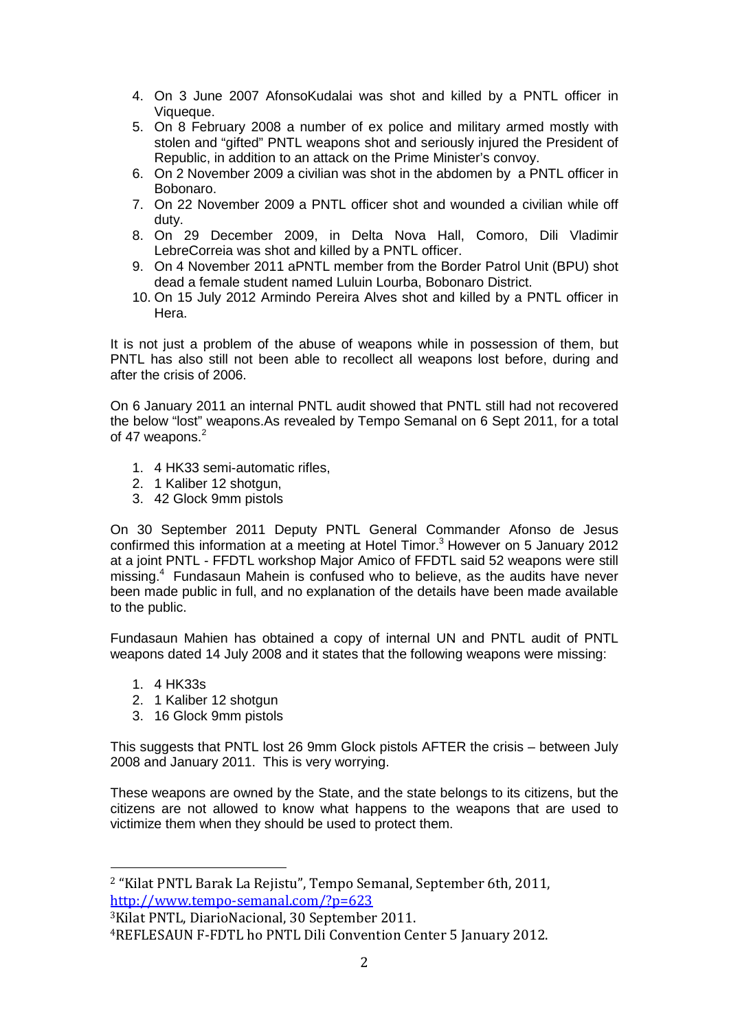- 4. On 3 June 2007 AfonsoKudalai was shot and killed by a PNTL officer in Viqueque.
- 5. On 8 February 2008 a number of ex police and military armed mostly with stolen and "gifted" PNTL weapons shot and seriously injured the President of Republic, in addition to an attack on the Prime Minister's convoy.
- 6. On 2 November 2009 a civilian was shot in the abdomen by a PNTL officer in Bobonaro.
- 7. On 22 November 2009 a PNTL officer shot and wounded a civilian while off duty.
- 8. On 29 December 2009, in Delta Nova Hall, Comoro, Dili Vladimir LebreCorreia was shot and killed by a PNTL officer.
- 9. On 4 November 2011 aPNTL member from the Border Patrol Unit (BPU) shot dead a female student named Luluin Lourba, Bobonaro District.
- 10. On 15 July 2012 Armindo Pereira Alves shot and killed by a PNTL officer in Hera.

It is not just a problem of the abuse of weapons while in possession of them, but PNTL has also still not been able to recollect all weapons lost before, during and after the crisis of 2006.

On 6 January 2011 an internal PNTL audit showed that PNTL still had not recovered the below "lost" weapons.As revealed by Tempo Semanal on 6 Sept 2011, for a total of 47 weapons.<sup>2</sup>

- 1. 4 HK33 semi-automatic rifles,
- 2. 1 Kaliber 12 shotgun,
- 3. 42 Glock 9mm pistols

On 30 September 2011 Deputy PNTL General Commander Afonso de Jesus confirmed this information at a meeting at Hotel Timor.<sup>3</sup> However on 5 January 2012 at a joint PNTL - FFDTL workshop Major Amico of FFDTL said 52 weapons were still missing.<sup>4</sup> Fundasaun Mahein is confused who to believe, as the audits have never been made public in full, and no explanation of the details have been made available to the public.

Fundasaun Mahien has obtained a copy of internal UN and PNTL audit of PNTL weapons dated 14 July 2008 and it states that the following weapons were missing:

- 1. 4 HK33s
- 2. 1 Kaliber 12 shotgun
- 3. 16 Glock 9mm pistols

This suggests that PNTL lost 26 9mm Glock pistols AFTER the crisis – between July 2008 and January 2011. This is very worrying.

These weapons are owned by the State, and the state belongs to its citizens, but the citizens are not allowed to know what happens to the weapons that are used to victimize them when they should be used to protect them.

 <sup>2</sup> "Kilat PNTL Barak La Rejistu", Tempo Semanal, September 6th, 2011, http://www.tempo-semanal.com/?p=623

<sup>3</sup>Kilat PNTL, DiarioNacional, 30 September 2011.

<sup>4</sup>REFLESAUN F-FDTL ho PNTL Dili Convention Center 5 January 2012.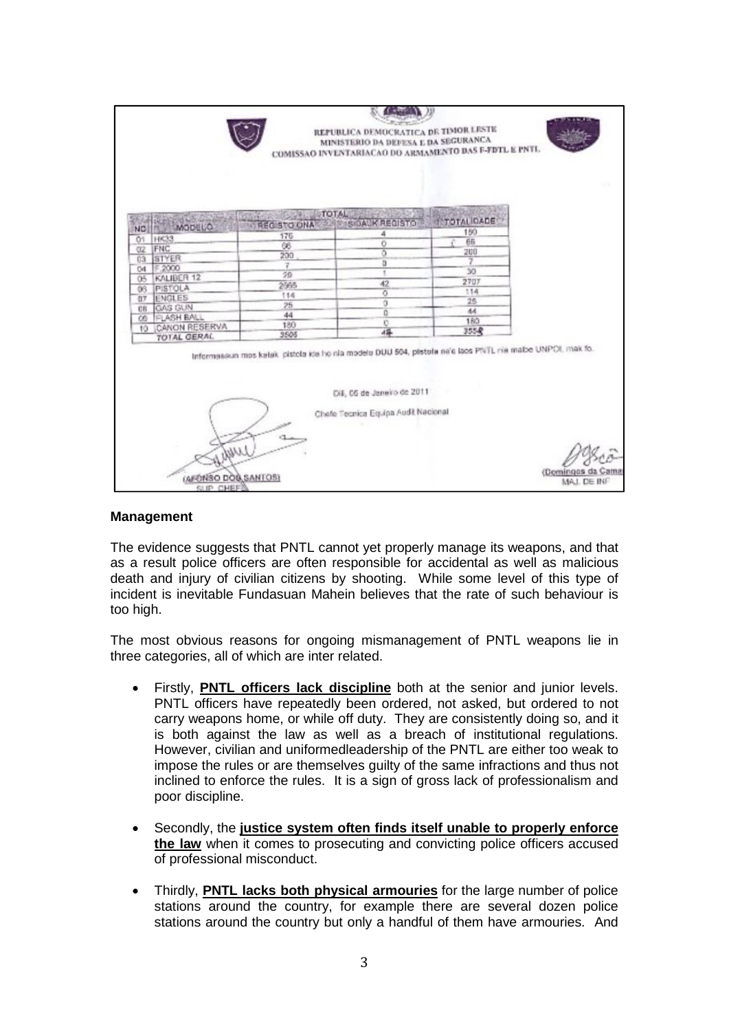

### **Management**

The evidence suggests that PNTL cannot yet properly manage its weapons, and that as a result police officers are often responsible for accidental as well as malicious death and injury of civilian citizens by shooting. While some level of this type of incident is inevitable Fundasuan Mahein believes that the rate of such behaviour is too high.

The most obvious reasons for ongoing mismanagement of PNTL weapons lie in three categories, all of which are inter related.

- Firstly, **PNTL officers lack discipline** both at the senior and junior levels. PNTL officers have repeatedly been ordered, not asked, but ordered to not carry weapons home, or while off duty. They are consistently doing so, and it is both against the law as well as a breach of institutional regulations. However, civilian and uniformedleadership of the PNTL are either too weak to impose the rules or are themselves guilty of the same infractions and thus not inclined to enforce the rules. It is a sign of gross lack of professionalism and poor discipline.
- · Secondly, the **justice system often finds itself unable to properly enforce the law** when it comes to prosecuting and convicting police officers accused of professional misconduct.
- · Thirdly, **PNTL lacks both physical armouries** for the large number of police stations around the country, for example there are several dozen police stations around the country but only a handful of them have armouries. And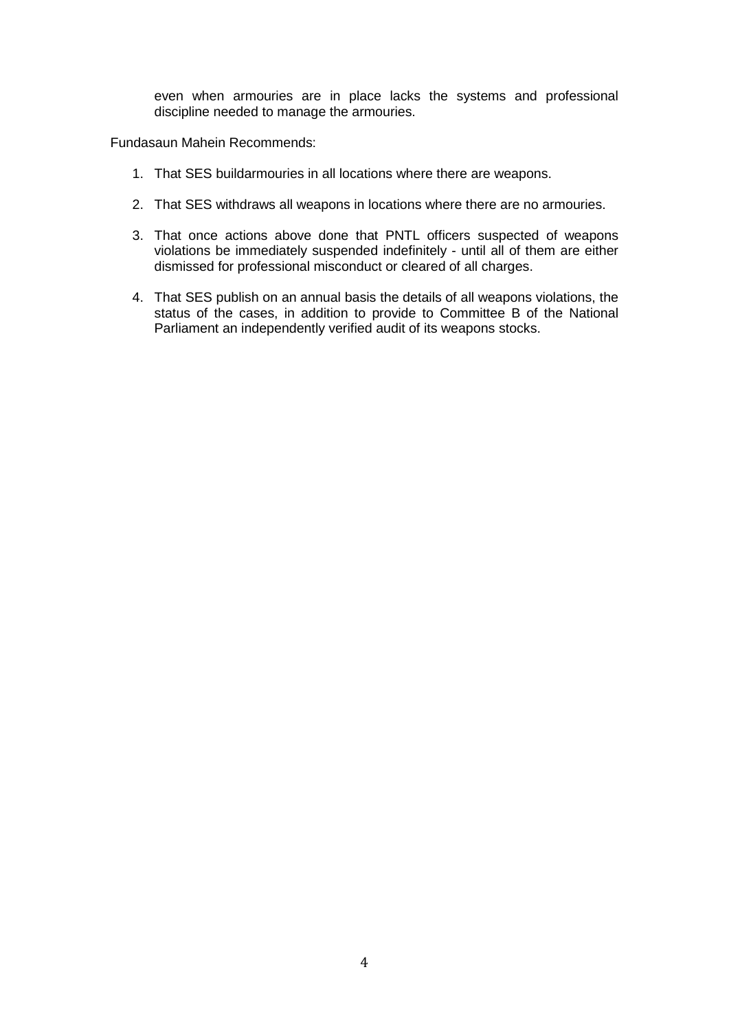even when armouries are in place lacks the systems and professional discipline needed to manage the armouries.

Fundasaun Mahein Recommends:

- 1. That SES buildarmouries in all locations where there are weapons.
- 2. That SES withdraws all weapons in locations where there are no armouries.
- 3. That once actions above done that PNTL officers suspected of weapons violations be immediately suspended indefinitely - until all of them are either dismissed for professional misconduct or cleared of all charges.
- 4. That SES publish on an annual basis the details of all weapons violations, the status of the cases, in addition to provide to Committee B of the National Parliament an independently verified audit of its weapons stocks.